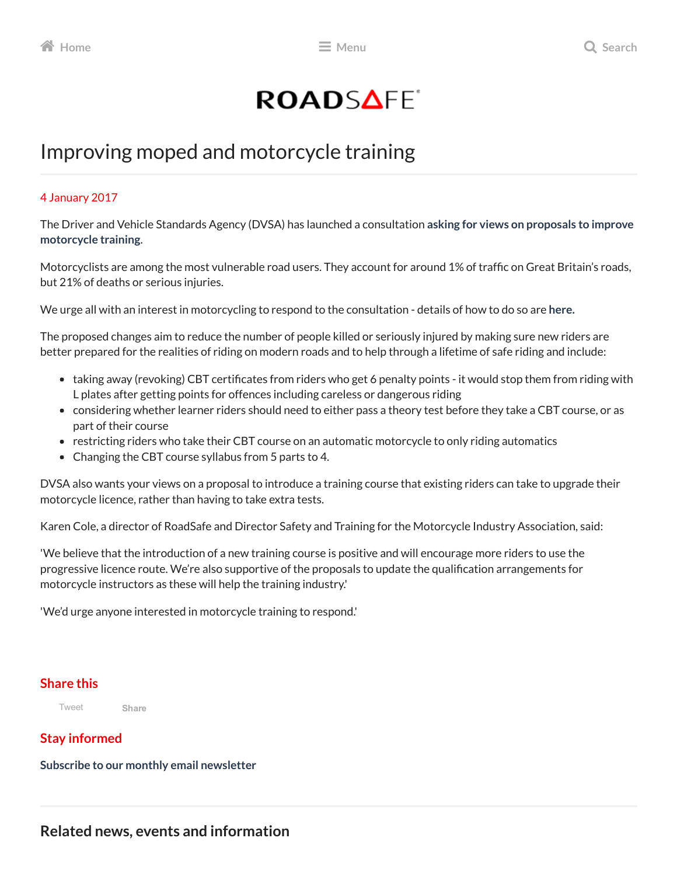# ROADSAFE<sup>®</sup>

## Improving moped and motorcycle training

#### 4 January 2017

The Driver and Vehicle Standards Agency (DVSA) has launched a [consultation](https://www.gov.uk/government/news/dvsa-sets-out-proposals-to-improve-motorcycle-training) asking for views on proposals to improve motorcycle training.

Motorcyclists are among the most vulnerable road users. They account for around 1% of traffic on Great Britain's roads, but 21% of deaths or serious injuries.

We urge all with an interest in motorcycling to respond to the consultation - details of how to do so are [here.](https://www.gov.uk/government/consultations/improving-moped-and-motorcycle-training)

The proposed changes aim to reduce the number of people killed or seriously injured by making sure new riders are better prepared for the realities of riding on modern roads and to help through a lifetime of safe riding and include:

- taking away (revoking) CBT certificates from riders who get 6 penalty points it would stop them from riding with L plates after getting points for offences including careless or dangerous riding
- considering whether learner riders should need to either pass a theory test before they take a CBT course, or as part of their course
- restricting riders who take their CBT course on an automatic motorcycle to only riding automatics
- Changing the CBT course syllabus from 5 parts to 4.

DVSA also wants your views on a proposal to introduce a training course that existing riders can take to upgrade their motorcycle licence, rather than having to take extra tests.

Karen Cole, a director of RoadSafe and Director Safety and Training for the Motorcycle Industry Association, said:

'We believe that the introduction of a new training course is positive and will encourage more riders to use the progressive licence route. We're also supportive of the proposals to update the qualification arrangements for motorcycle instructors as these will help the training industry.'

'We'd urge anyone interested in motorcycle training to respond.'

#### Share this

[Tweet](https://twitter.com/intent/tweet?hashtags=roadsafety&original_referer=http%3A%2F%2Fwww.roadsafe.com%2Fimprovingmopedandmotorcycletraining&ref_src=twsrc%5Etfw&text=RoadSafe%3A%20Improving%20moped%20and%20motorcycle%20training&tw_p=tweetbutton&url=http%3A%2F%2Fwww.roadsafe.com%2Fimprovingmopedandmotorcycletraining&via=roadsafeglobal)

### Stay informed

Subscribe to our monthly email [newsletter](http://www.roadsafe.com/newsletter)

[Share](https://www.facebook.com/sharer/sharer.php?sdk=joey&u=https%3A%2F%2Froadsafe.fourteenfish.com%2Fimprovingmopedandmotorcycletraining&display=popup&ref=plugin&src=share_button)